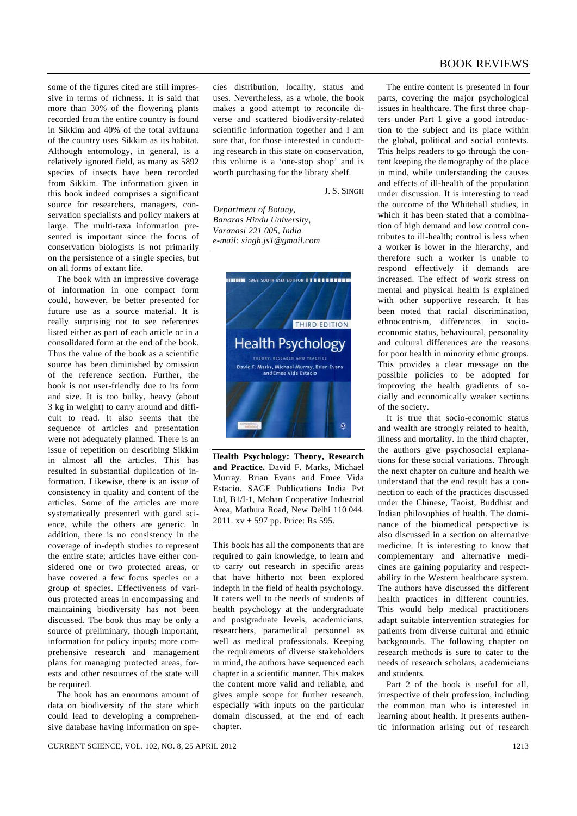some of the figures cited are still impressive in terms of richness. It is said that more than 30% of the flowering plants recorded from the entire country is found in Sikkim and 40% of the total avifauna of the country uses Sikkim as its habitat. Although entomology, in general, is a relatively ignored field, as many as 5892 species of insects have been recorded from Sikkim. The information given in this book indeed comprises a significant source for researchers, managers, conservation specialists and policy makers at large. The multi-taxa information presented is important since the focus of conservation biologists is not primarily on the persistence of a single species, but on all forms of extant life.

 The book with an impressive coverage of information in one compact form could, however, be better presented for future use as a source material. It is really surprising not to see references listed either as part of each article or in a consolidated form at the end of the book. Thus the value of the book as a scientific source has been diminished by omission of the reference section. Further, the book is not user-friendly due to its form and size. It is too bulky, heavy (about 3 kg in weight) to carry around and difficult to read. It also seems that the sequence of articles and presentation were not adequately planned. There is an issue of repetition on describing Sikkim in almost all the articles. This has resulted in substantial duplication of information. Likewise, there is an issue of consistency in quality and content of the articles. Some of the articles are more systematically presented with good science, while the others are generic. In addition, there is no consistency in the coverage of in-depth studies to represent the entire state; articles have either considered one or two protected areas, or have covered a few focus species or a group of species. Effectiveness of various protected areas in encompassing and maintaining biodiversity has not been discussed. The book thus may be only a source of preliminary, though important, information for policy inputs; more comprehensive research and management plans for managing protected areas, forests and other resources of the state will be required.

 The book has an enormous amount of data on biodiversity of the state which could lead to developing a comprehensive database having information on species distribution, locality, status and uses. Nevertheless, as a whole, the book makes a good attempt to reconcile diverse and scattered biodiversity-related scientific information together and I am sure that, for those interested in conducting research in this state on conservation, this volume is a 'one-stop shop' and is worth purchasing for the library shelf.

J. S. SINGH

*Department of Botany, Banaras Hindu University, Varanasi 221 005, India e-mail: singh.js1@gmail.com* 



**Health Psychology: Theory, Research and Practice.** David F. Marks, Michael Murray, Brian Evans and Emee Vida Estacio. SAGE Publications India Pvt Ltd, B1/I-1, Mohan Cooperative Industrial Area, Mathura Road, New Delhi 110 044. 2011. xv + 597 pp. Price: Rs 595.

This book has all the components that are required to gain knowledge, to learn and to carry out research in specific areas that have hitherto not been explored indepth in the field of health psychology. It caters well to the needs of students of health psychology at the undergraduate and postgraduate levels, academicians, researchers, paramedical personnel as well as medical professionals. Keeping the requirements of diverse stakeholders in mind, the authors have sequenced each chapter in a scientific manner. This makes the content more valid and reliable, and gives ample scope for further research, especially with inputs on the particular domain discussed, at the end of each chapter.

 The entire content is presented in four parts, covering the major psychological issues in healthcare. The first three chapters under Part 1 give a good introduction to the subject and its place within the global, political and social contexts. This helps readers to go through the content keeping the demography of the place in mind, while understanding the causes and effects of ill-health of the population under discussion. It is interesting to read the outcome of the Whitehall studies, in which it has been stated that a combination of high demand and low control contributes to ill-health; control is less when a worker is lower in the hierarchy, and therefore such a worker is unable to respond effectively if demands are increased. The effect of work stress on mental and physical health is explained with other supportive research. It has been noted that racial discrimination, ethnocentrism, differences in socioeconomic status, behavioural, personality and cultural differences are the reasons for poor health in minority ethnic groups. This provides a clear message on the possible policies to be adopted for improving the health gradients of socially and economically weaker sections of the society.

 It is true that socio-economic status and wealth are strongly related to health, illness and mortality. In the third chapter, the authors give psychosocial explanations for these social variations. Through the next chapter on culture and health we understand that the end result has a connection to each of the practices discussed under the Chinese, Taoist, Buddhist and Indian philosophies of health. The dominance of the biomedical perspective is also discussed in a section on alternative medicine. It is interesting to know that complementary and alternative medicines are gaining popularity and respectability in the Western healthcare system. The authors have discussed the different health practices in different countries. This would help medical practitioners adapt suitable intervention strategies for patients from diverse cultural and ethnic backgrounds. The following chapter on research methods is sure to cater to the needs of research scholars, academicians and students.

 Part 2 of the book is useful for all, irrespective of their profession, including the common man who is interested in learning about health. It presents authentic information arising out of research